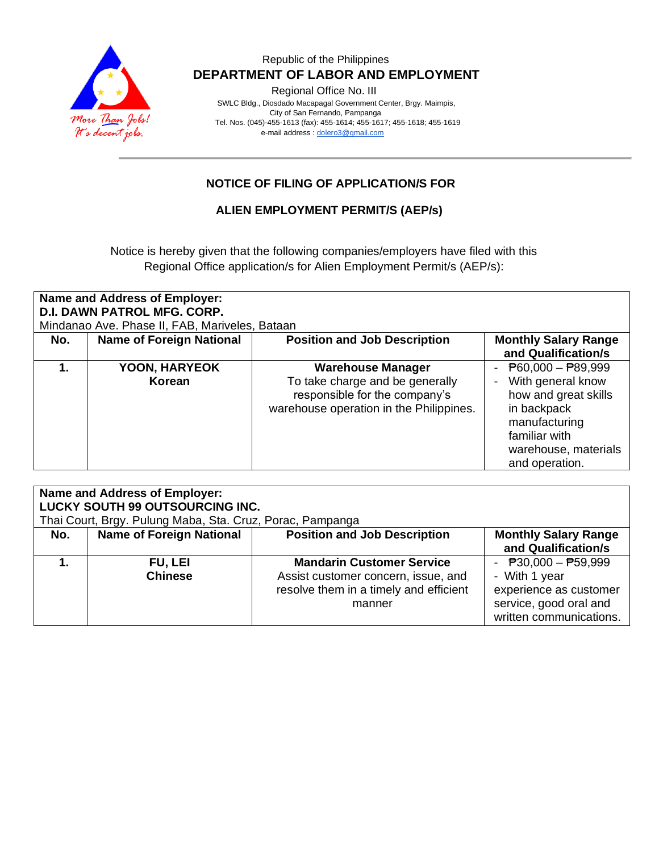

#### Republic of the Philippines  **DEPARTMENT OF LABOR AND EMPLOYMENT**

Regional Office No. III

 SWLC Bldg., Diosdado Macapagal Government Center, Brgy. Maimpis, City of San Fernando, Pampanga Tel. Nos. (045)-455-1613 (fax): 455-1614; 455-1617; 455-1618; 455-1619 e-mail address [: dolero3@gmail.com](mailto:dolero3@gmail.com)

# **NOTICE OF FILING OF APPLICATION/S FOR**

#### **ALIEN EMPLOYMENT PERMIT/S (AEP/s)**

Notice is hereby given that the following companies/employers have filed with this Regional Office application/s for Alien Employment Permit/s (AEP/s):

| Name and Address of Employer:<br><b>D.I. DAWN PATROL MFG. CORP.</b><br>Mindanao Ave. Phase II, FAB, Mariveles, Bataan |                                 |                                                                                                                                         |                                                                                                                                                                                   |  |
|-----------------------------------------------------------------------------------------------------------------------|---------------------------------|-----------------------------------------------------------------------------------------------------------------------------------------|-----------------------------------------------------------------------------------------------------------------------------------------------------------------------------------|--|
| No.                                                                                                                   | <b>Name of Foreign National</b> | <b>Position and Job Description</b>                                                                                                     | <b>Monthly Salary Range</b>                                                                                                                                                       |  |
|                                                                                                                       |                                 |                                                                                                                                         | and Qualification/s                                                                                                                                                               |  |
| 1.                                                                                                                    | YOON, HARYEOK<br>Korean         | <b>Warehouse Manager</b><br>To take charge and be generally<br>responsible for the company's<br>warehouse operation in the Philippines. | $\overline{P}60,000 - \overline{P}89,999$<br>With general know<br>how and great skills<br>in backpack<br>manufacturing<br>familiar with<br>warehouse, materials<br>and operation. |  |

| <b>Name and Address of Employer:</b><br>LUCKY SOUTH 99 OUTSOURCING INC. |                                  |                                                                                                                             |                                                                                                                       |  |  |
|-------------------------------------------------------------------------|----------------------------------|-----------------------------------------------------------------------------------------------------------------------------|-----------------------------------------------------------------------------------------------------------------------|--|--|
| Thai Court, Brgy. Pulung Maba, Sta. Cruz, Porac, Pampanga               |                                  |                                                                                                                             |                                                                                                                       |  |  |
| No.                                                                     | <b>Name of Foreign National</b>  | <b>Position and Job Description</b>                                                                                         | <b>Monthly Salary Range</b><br>and Qualification/s                                                                    |  |  |
|                                                                         | <b>FU, LEI</b><br><b>Chinese</b> | <b>Mandarin Customer Service</b><br>Assist customer concern, issue, and<br>resolve them in a timely and efficient<br>manner | - $P30,000 - P59,999$<br>- With 1 year<br>experience as customer<br>service, good oral and<br>written communications. |  |  |